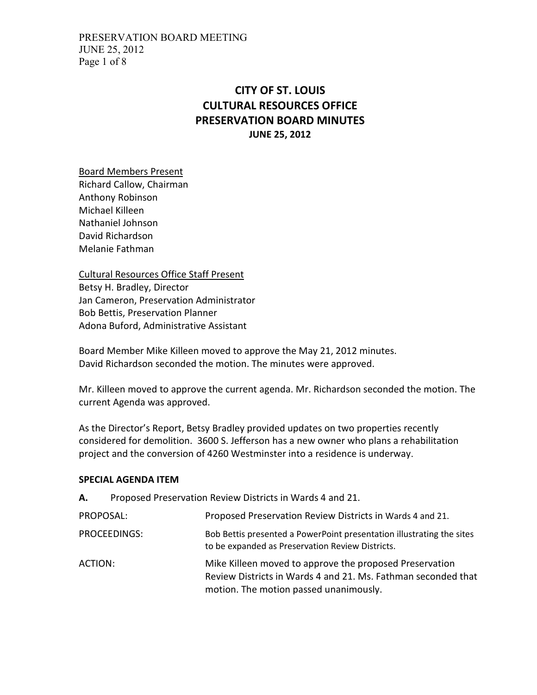PRESERVATION BOARD MEETING JUNE 25, 2012 Page 1 of 8

## CITY OF ST. LOUIS CULTURAL RESOURCES OFFICE PRESERVATION BOARD MINUTES JUNE 25, 2012

Board Members Present Richard Callow, Chairman Anthony Robinson Michael Killeen

Nathaniel Johnson David Richardson Melanie Fathman

Cultural Resources Office Staff Present Betsy H. Bradley, Director Jan Cameron, Preservation Administrator Bob Bettis, Preservation Planner Adona Buford, Administrative Assistant

Board Member Mike Killeen moved to approve the May 21, 2012 minutes. David Richardson seconded the motion. The minutes were approved.

Mr. Killeen moved to approve the current agenda. Mr. Richardson seconded the motion. The current Agenda was approved.

As the Director's Report, Betsy Bradley provided updates on two properties recently considered for demolition. 3600 S. Jefferson has a new owner who plans a rehabilitation project and the conversion of 4260 Westminster into a residence is underway.

#### SPECIAL AGENDA ITEM

| А.        | Proposed Preservation Review Districts in Wards 4 and 21. |                                                                                                                                                                    |
|-----------|-----------------------------------------------------------|--------------------------------------------------------------------------------------------------------------------------------------------------------------------|
| PROPOSAL: |                                                           | Proposed Preservation Review Districts in Wards 4 and 21.                                                                                                          |
|           | PROCEEDINGS:                                              | Bob Bettis presented a PowerPoint presentation illustrating the sites<br>to be expanded as Preservation Review Districts.                                          |
| ACTION:   |                                                           | Mike Killeen moved to approve the proposed Preservation<br>Review Districts in Wards 4 and 21. Ms. Fathman seconded that<br>motion. The motion passed unanimously. |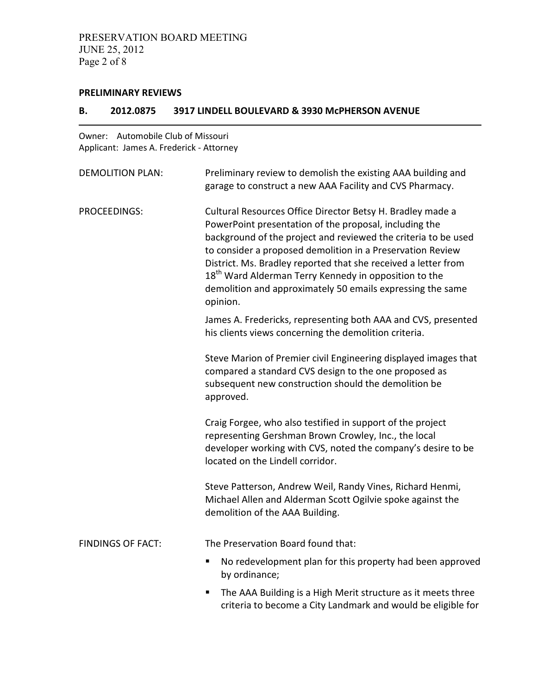#### PRELIMINARY REVIEWS

#### B. 2012.0875 3917 LINDELL BOULEVARD & 3930 McPHERSON AVENUE

Owner: Automobile Club of Missouri Applicant: James A. Frederick - Attorney

| <b>DEMOLITION PLAN:</b>  | Preliminary review to demolish the existing AAA building and<br>garage to construct a new AAA Facility and CVS Pharmacy.                                                                                                                                                                                                                                                                                                                                              |
|--------------------------|-----------------------------------------------------------------------------------------------------------------------------------------------------------------------------------------------------------------------------------------------------------------------------------------------------------------------------------------------------------------------------------------------------------------------------------------------------------------------|
| PROCEEDINGS:             | Cultural Resources Office Director Betsy H. Bradley made a<br>PowerPoint presentation of the proposal, including the<br>background of the project and reviewed the criteria to be used<br>to consider a proposed demolition in a Preservation Review<br>District. Ms. Bradley reported that she received a letter from<br>18 <sup>th</sup> Ward Alderman Terry Kennedy in opposition to the<br>demolition and approximately 50 emails expressing the same<br>opinion. |
|                          | James A. Fredericks, representing both AAA and CVS, presented<br>his clients views concerning the demolition criteria.                                                                                                                                                                                                                                                                                                                                                |
|                          | Steve Marion of Premier civil Engineering displayed images that<br>compared a standard CVS design to the one proposed as<br>subsequent new construction should the demolition be<br>approved.                                                                                                                                                                                                                                                                         |
|                          | Craig Forgee, who also testified in support of the project<br>representing Gershman Brown Crowley, Inc., the local<br>developer working with CVS, noted the company's desire to be<br>located on the Lindell corridor.                                                                                                                                                                                                                                                |
|                          | Steve Patterson, Andrew Weil, Randy Vines, Richard Henmi,<br>Michael Allen and Alderman Scott Ogilvie spoke against the<br>demolition of the AAA Building.                                                                                                                                                                                                                                                                                                            |
| <b>FINDINGS OF FACT:</b> | The Preservation Board found that:                                                                                                                                                                                                                                                                                                                                                                                                                                    |
|                          | No redevelopment plan for this property had been approved<br>п<br>by ordinance;                                                                                                                                                                                                                                                                                                                                                                                       |
|                          | The AAA Building is a High Merit structure as it meets three<br>Ξ<br>criteria to become a City Landmark and would be eligible for                                                                                                                                                                                                                                                                                                                                     |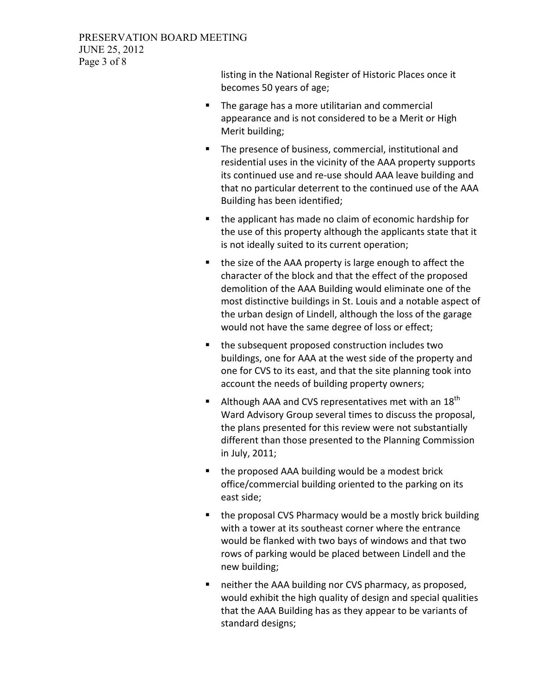listing in the National Register of Historic Places once it becomes 50 years of age;

- **The garage has a more utilitarian and commercial** appearance and is not considered to be a Merit or High Merit building;
- **The presence of business, commercial, institutional and** residential uses in the vicinity of the AAA property supports its continued use and re-use should AAA leave building and that no particular deterrent to the continued use of the AAA Building has been identified;
- **the applicant has made no claim of economic hardship for** the use of this property although the applicants state that it is not ideally suited to its current operation;
- the size of the AAA property is large enough to affect the character of the block and that the effect of the proposed demolition of the AAA Building would eliminate one of the most distinctive buildings in St. Louis and a notable aspect of the urban design of Lindell, although the loss of the garage would not have the same degree of loss or effect;
- **the subsequent proposed construction includes two** buildings, one for AAA at the west side of the property and one for CVS to its east, and that the site planning took into account the needs of building property owners;
- Although AAA and CVS representatives met with an  $18^{th}$ Ward Advisory Group several times to discuss the proposal, the plans presented for this review were not substantially different than those presented to the Planning Commission in July, 2011;
- the proposed AAA building would be a modest brick office/commercial building oriented to the parking on its east side;
- **the proposal CVS Pharmacy would be a mostly brick building** with a tower at its southeast corner where the entrance would be flanked with two bays of windows and that two rows of parking would be placed between Lindell and the new building;
- neither the AAA building nor CVS pharmacy, as proposed, would exhibit the high quality of design and special qualities that the AAA Building has as they appear to be variants of standard designs;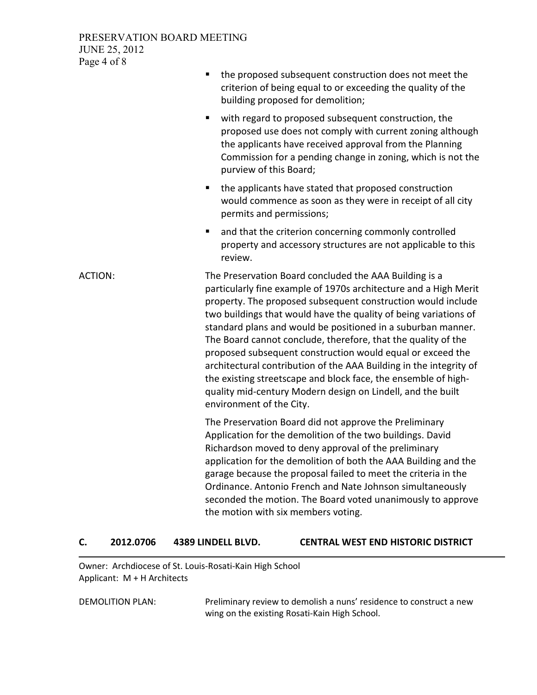#### PRESERVATION BOARD MEETING JUNE 25, 2012 Page 4 of 8

|                | the proposed subsequent construction does not meet the<br>criterion of being equal to or exceeding the quality of the<br>building proposed for demolition;                                                                                                                                                                                                                                                                                                                                                                                                                                                                                                                                       |
|----------------|--------------------------------------------------------------------------------------------------------------------------------------------------------------------------------------------------------------------------------------------------------------------------------------------------------------------------------------------------------------------------------------------------------------------------------------------------------------------------------------------------------------------------------------------------------------------------------------------------------------------------------------------------------------------------------------------------|
|                | Ξ<br>with regard to proposed subsequent construction, the<br>proposed use does not comply with current zoning although<br>the applicants have received approval from the Planning<br>Commission for a pending change in zoning, which is not the<br>purview of this Board;                                                                                                                                                                                                                                                                                                                                                                                                                       |
|                | the applicants have stated that proposed construction<br>п<br>would commence as soon as they were in receipt of all city<br>permits and permissions;                                                                                                                                                                                                                                                                                                                                                                                                                                                                                                                                             |
|                | and that the criterion concerning commonly controlled<br>٠<br>property and accessory structures are not applicable to this<br>review.                                                                                                                                                                                                                                                                                                                                                                                                                                                                                                                                                            |
| <b>ACTION:</b> | The Preservation Board concluded the AAA Building is a<br>particularly fine example of 1970s architecture and a High Merit<br>property. The proposed subsequent construction would include<br>two buildings that would have the quality of being variations of<br>standard plans and would be positioned in a suburban manner.<br>The Board cannot conclude, therefore, that the quality of the<br>proposed subsequent construction would equal or exceed the<br>architectural contribution of the AAA Building in the integrity of<br>the existing streetscape and block face, the ensemble of high-<br>quality mid-century Modern design on Lindell, and the built<br>environment of the City. |
|                | The Preservation Board did not approve the Preliminary<br>Application for the demolition of the two buildings. David<br>Richardson moved to deny approval of the preliminary<br>application for the demolition of both the AAA Building and the<br>garage because the proposal failed to meet the criteria in the<br>Ordinance. Antonio French and Nate Johnson simultaneously<br>seconded the motion. The Board voted unanimously to approve<br>the motion with six members voting.                                                                                                                                                                                                             |

#### C. 2012.0706 4389 LINDELL BLVD. CENTRAL WEST END HISTORIC DISTRICT

Owner: Archdiocese of St. Louis-Rosati-Kain High School Applicant: M + H Architects

DEMOLITION PLAN: Preliminary review to demolish a nuns' residence to construct a new wing on the existing Rosati-Kain High School.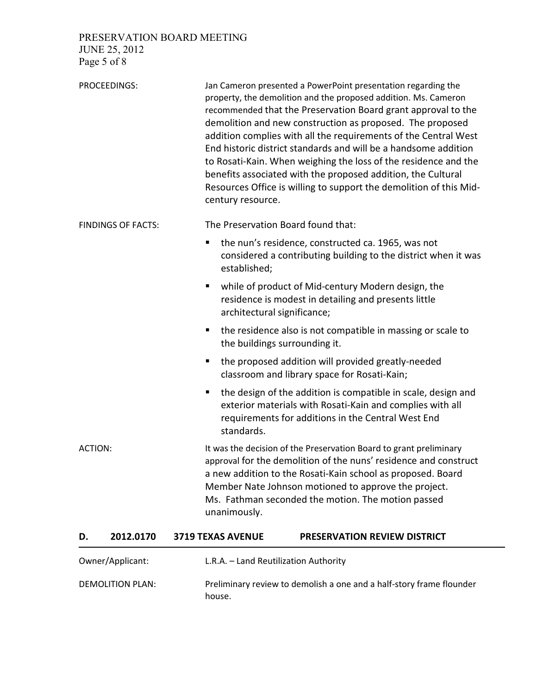PRESERVATION BOARD MEETING

JUNE 25, 2012 Page 5 of 8

|                           | PROCEEDINGS:     | century resource.                                                                                                                                                                                                                                                                                                                   | Jan Cameron presented a PowerPoint presentation regarding the<br>property, the demolition and the proposed addition. Ms. Cameron<br>recommended that the Preservation Board grant approval to the<br>demolition and new construction as proposed. The proposed<br>addition complies with all the requirements of the Central West<br>End historic district standards and will be a handsome addition<br>to Rosati-Kain. When weighing the loss of the residence and the<br>benefits associated with the proposed addition, the Cultural<br>Resources Office is willing to support the demolition of this Mid- |  |
|---------------------------|------------------|-------------------------------------------------------------------------------------------------------------------------------------------------------------------------------------------------------------------------------------------------------------------------------------------------------------------------------------|---------------------------------------------------------------------------------------------------------------------------------------------------------------------------------------------------------------------------------------------------------------------------------------------------------------------------------------------------------------------------------------------------------------------------------------------------------------------------------------------------------------------------------------------------------------------------------------------------------------|--|
| <b>FINDINGS OF FACTS:</b> |                  |                                                                                                                                                                                                                                                                                                                                     | The Preservation Board found that:                                                                                                                                                                                                                                                                                                                                                                                                                                                                                                                                                                            |  |
|                           |                  | ш<br>established;                                                                                                                                                                                                                                                                                                                   | the nun's residence, constructed ca. 1965, was not<br>considered a contributing building to the district when it was                                                                                                                                                                                                                                                                                                                                                                                                                                                                                          |  |
|                           |                  |                                                                                                                                                                                                                                                                                                                                     | while of product of Mid-century Modern design, the<br>residence is modest in detailing and presents little<br>architectural significance;                                                                                                                                                                                                                                                                                                                                                                                                                                                                     |  |
|                           |                  | п                                                                                                                                                                                                                                                                                                                                   | the residence also is not compatible in massing or scale to<br>the buildings surrounding it.                                                                                                                                                                                                                                                                                                                                                                                                                                                                                                                  |  |
|                           |                  | п                                                                                                                                                                                                                                                                                                                                   | the proposed addition will provided greatly-needed<br>classroom and library space for Rosati-Kain;                                                                                                                                                                                                                                                                                                                                                                                                                                                                                                            |  |
|                           |                  | ш<br>standards.                                                                                                                                                                                                                                                                                                                     | the design of the addition is compatible in scale, design and<br>exterior materials with Rosati-Kain and complies with all<br>requirements for additions in the Central West End                                                                                                                                                                                                                                                                                                                                                                                                                              |  |
| <b>ACTION:</b>            |                  | It was the decision of the Preservation Board to grant preliminary<br>approval for the demolition of the nuns' residence and construct<br>a new addition to the Rosati-Kain school as proposed. Board<br>Member Nate Johnson motioned to approve the project.<br>Ms. Fathman seconded the motion. The motion passed<br>unanimously. |                                                                                                                                                                                                                                                                                                                                                                                                                                                                                                                                                                                                               |  |
| D.                        | 2012.0170        | 3719 TEXAS AVENUE                                                                                                                                                                                                                                                                                                                   | <b>PRESERVATION REVIEW DISTRICT</b>                                                                                                                                                                                                                                                                                                                                                                                                                                                                                                                                                                           |  |
|                           | Owner/Applicant: |                                                                                                                                                                                                                                                                                                                                     | L.R.A. - Land Reutilization Authority                                                                                                                                                                                                                                                                                                                                                                                                                                                                                                                                                                         |  |

DEMOLITION PLAN: Preliminary review to demolish a one and a half-story frame flounder house.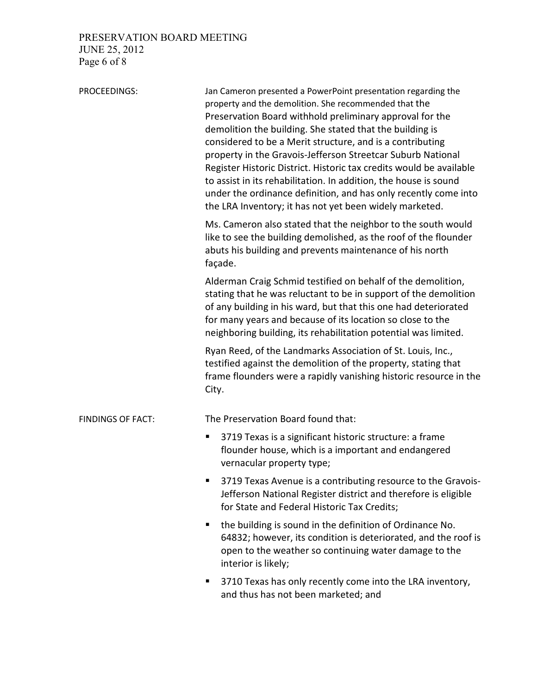# PRESERVATION BOARD MEETING JUNE 25, 2012

Page 6 of 8

| PROCEEDINGS:             | Jan Cameron presented a PowerPoint presentation regarding the<br>property and the demolition. She recommended that the<br>Preservation Board withhold preliminary approval for the<br>demolition the building. She stated that the building is<br>considered to be a Merit structure, and is a contributing<br>property in the Gravois-Jefferson Streetcar Suburb National<br>Register Historic District. Historic tax credits would be available<br>to assist in its rehabilitation. In addition, the house is sound<br>under the ordinance definition, and has only recently come into<br>the LRA Inventory; it has not yet been widely marketed. |  |  |
|--------------------------|-----------------------------------------------------------------------------------------------------------------------------------------------------------------------------------------------------------------------------------------------------------------------------------------------------------------------------------------------------------------------------------------------------------------------------------------------------------------------------------------------------------------------------------------------------------------------------------------------------------------------------------------------------|--|--|
|                          | Ms. Cameron also stated that the neighbor to the south would<br>like to see the building demolished, as the roof of the flounder<br>abuts his building and prevents maintenance of his north<br>façade.                                                                                                                                                                                                                                                                                                                                                                                                                                             |  |  |
|                          | Alderman Craig Schmid testified on behalf of the demolition,<br>stating that he was reluctant to be in support of the demolition<br>of any building in his ward, but that this one had deteriorated<br>for many years and because of its location so close to the<br>neighboring building, its rehabilitation potential was limited.                                                                                                                                                                                                                                                                                                                |  |  |
|                          | Ryan Reed, of the Landmarks Association of St. Louis, Inc.,<br>testified against the demolition of the property, stating that<br>frame flounders were a rapidly vanishing historic resource in the<br>City.                                                                                                                                                                                                                                                                                                                                                                                                                                         |  |  |
| <b>FINDINGS OF FACT:</b> | The Preservation Board found that:                                                                                                                                                                                                                                                                                                                                                                                                                                                                                                                                                                                                                  |  |  |
|                          | 3719 Texas is a significant historic structure: a frame<br>п<br>flounder house, which is a important and endangered<br>vernacular property type;                                                                                                                                                                                                                                                                                                                                                                                                                                                                                                    |  |  |
|                          | 3719 Texas Avenue is a contributing resource to the Gravois-<br>п<br>Jefferson National Register district and therefore is eligible<br>for State and Federal Historic Tax Credits;                                                                                                                                                                                                                                                                                                                                                                                                                                                                  |  |  |
|                          | the building is sound in the definition of Ordinance No.<br>ш<br>64832; however, its condition is deteriorated, and the roof is<br>open to the weather so continuing water damage to the<br>interior is likely;                                                                                                                                                                                                                                                                                                                                                                                                                                     |  |  |
|                          | 3710 Texas has only recently come into the LRA inventory,<br>п<br>and thus has not been marketed; and                                                                                                                                                                                                                                                                                                                                                                                                                                                                                                                                               |  |  |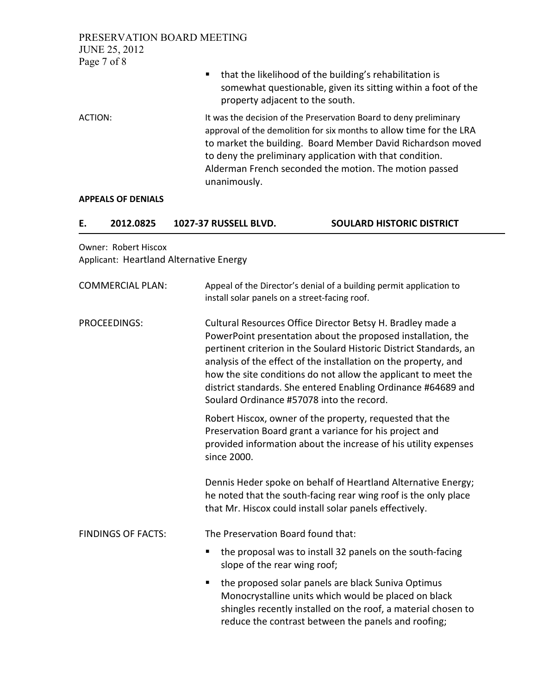PRESERVATION BOARD MEETING JUNE 25, 2012 Page 7 of 8

| ■ that the likelihood of the building's rehabilitation is     |
|---------------------------------------------------------------|
| somewhat questionable, given its sitting within a foot of the |
| property adjacent to the south.                               |

ACTION: It was the decision of the Preservation Board to deny preliminary approval of the demolition for six months to allow time for the LRA to market the building. Board Member David Richardson moved to deny the preliminary application with that condition. Alderman French seconded the motion. The motion passed unanimously.

#### APPEALS OF DENIALS

| 2012.0825 | 1027-37 RUSSELL BLVD. | <b>SOULARD HISTORIC DISTRICT</b> |
|-----------|-----------------------|----------------------------------|

Owner: Robert Hiscox Applicant: Heartland Alternative Energy

| <b>COMMERCIAL PLAN:</b>   | Appeal of the Director's denial of a building permit application to<br>install solar panels on a street-facing roof.                                                                                                                                                                                                                                                                                                                                |  |  |
|---------------------------|-----------------------------------------------------------------------------------------------------------------------------------------------------------------------------------------------------------------------------------------------------------------------------------------------------------------------------------------------------------------------------------------------------------------------------------------------------|--|--|
| PROCEEDINGS:              | Cultural Resources Office Director Betsy H. Bradley made a<br>PowerPoint presentation about the proposed installation, the<br>pertinent criterion in the Soulard Historic District Standards, an<br>analysis of the effect of the installation on the property, and<br>how the site conditions do not allow the applicant to meet the<br>district standards. She entered Enabling Ordinance #64689 and<br>Soulard Ordinance #57078 into the record. |  |  |
|                           | Robert Hiscox, owner of the property, requested that the<br>Preservation Board grant a variance for his project and<br>provided information about the increase of his utility expenses<br>since 2000.                                                                                                                                                                                                                                               |  |  |
|                           | Dennis Heder spoke on behalf of Heartland Alternative Energy;<br>he noted that the south-facing rear wing roof is the only place<br>that Mr. Hiscox could install solar panels effectively.                                                                                                                                                                                                                                                         |  |  |
| <b>FINDINGS OF FACTS:</b> | The Preservation Board found that:                                                                                                                                                                                                                                                                                                                                                                                                                  |  |  |
|                           | the proposal was to install 32 panels on the south-facing<br>٠<br>slope of the rear wing roof;                                                                                                                                                                                                                                                                                                                                                      |  |  |
|                           | the proposed solar panels are black Suniva Optimus<br>٠<br>Monocrystalline units which would be placed on black<br>shingles recently installed on the roof, a material chosen to<br>reduce the contrast between the panels and roofing;                                                                                                                                                                                                             |  |  |